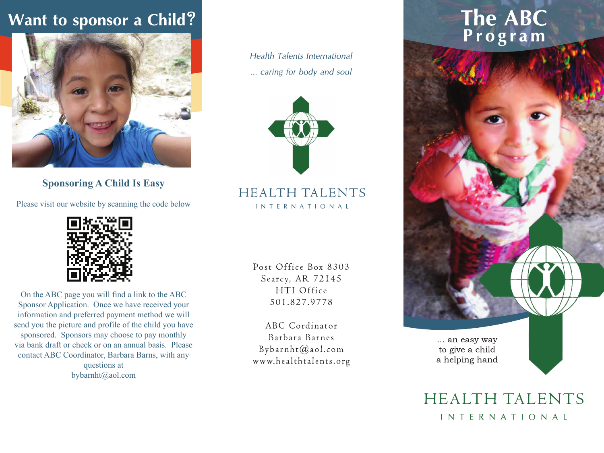### Want to sponsor a Child?



**Sponsoring A Child Is Easy**

Please visit our website by scanning the code below



On the ABC page you will find a link to the ABC Sponsor Application. Once we have received your information and preferred payment method we will send you the picture and profile of the child you have sponsored. Sponsors may choose to pay monthly via bank draft or check or on an annual basis. Please contact ABC Coordinator, Barbara Barns, with any questions at bybarnht@aol.com

**Health Talents International** ... caring for body and soul



**HEALTH TALENTS INTERNATIONAL** 

> Post Office Box 8303 Searcy, AR 72145 HTI Office 501.827.9778

ABC Cordinator Barbara Barnes Bybarnht@aol.com www.healthtalents.org

## The ABC<br>Program



HEALTH TALENTS INTERNATIONAL